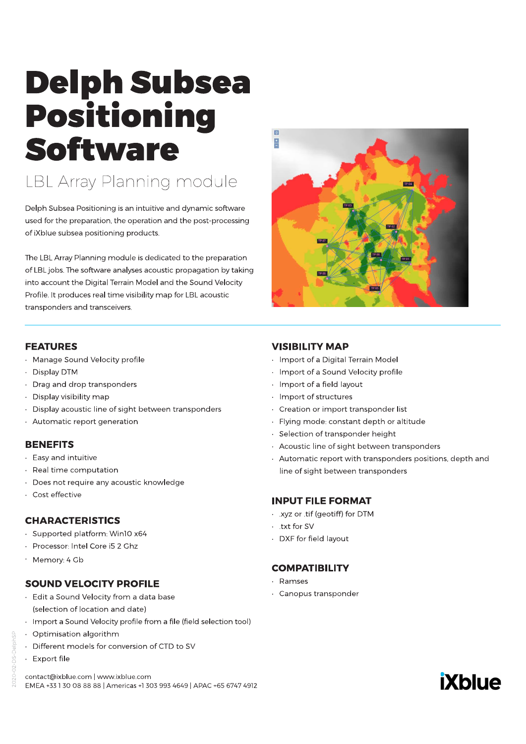# **Delph Subsea Positioning Software**

## LBL Array Planning module

Delph Subsea Positioning is an intuitive and dynamic software used for the preparation, the operation and the post-processing of iXblue subsea positioning products.

The LBL Array Planning module is dedicated to the preparation of LBL jobs. The software analyses acoustic propagation by taking into account the Digital Terrain Model and the Sound Velocity Profile. It produces real time visibility map for LBL acoustic transponders and transceivers.

#### **FEATURES**

- · Manage Sound Velocity profile
- · Display DTM
- · Drag and drop transponders
- $\ddot{\phantom{a}}$ Display visibility map
- · Display acoustic line of sight between transponders
- · Automatic report generation

#### **BENEFITS**

- · Easy and intuitive
- · Real time computation
- Does not require any acoustic knowledge  $\ddot{\phantom{a}}$
- · Cost effective

#### **CHARACTERISTICS**

- $\ddot{\phantom{a}}$ Supported platform: Win10 x64
- Processor: Intel Core i5 2 Ghz  $\ddot{\phantom{a}}$
- · Memory: 4 Gb

#### **SOUND VELOCITY PROFILE**

- · Edit a Sound Velocity from a data base (selection of location and date)
- · Import a Sound Velocity profile from a file (field selection tool)
- · Optimisation algorithm
- · Different models for conversion of CTD to SV
- · Export file

contact@ixblue.com | www.ixblue.com EMEA +33 1 30 08 88 88 | Americas +1 303 993 4649 | APAC +65 6747 4912



#### **VISIBILITY MAP**

- · Import of a Digital Terrain Model
- · Import of a Sound Velocity profile
- · Import of a field layout
- · Import of structures
- · Creation or import transponder list
- · Flying mode: constant depth or altitude
- · Selection of transponder height
- · Acoustic line of sight between transponders
- · Automatic report with transponders positions, depth and line of sight between transponders

#### **INPUT FILE FORMAT**

- . .xyz or .tif (geotiff) for DTM
- . txt for SV
- · DXF for field lavout

#### **COMPATIBILITY**

- · Ramses
- · Canopus transponder

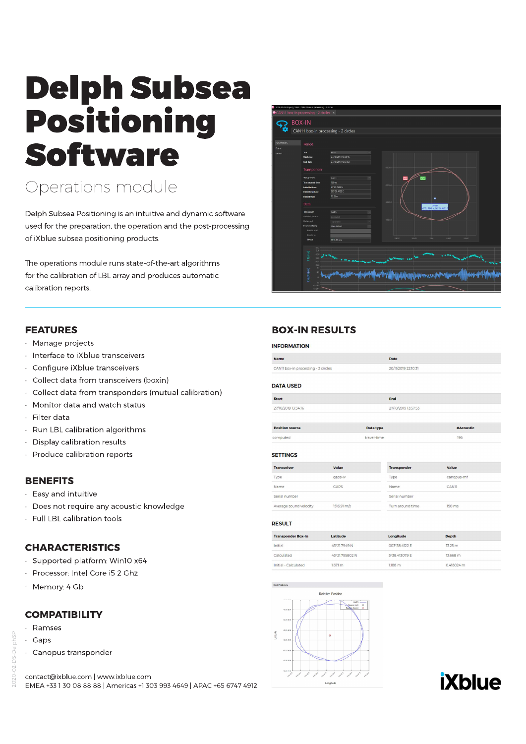# **Delph Subsea Positioning Software**

## Operations module

Delph Subsea Positioning is an intuitive and dynamic software used for the preparation, the operation and the post-processing of iXblue subsea positioning products.

The operations module runs state-of-the-art algorithms for the calibration of LBL array and produces automatic calibration reports.

#### **FEATURES**

- · Manage projects
- · Interface to iXblue transceivers
- Configure iXblue transceivers  $\ddot{\phantom{a}}$
- · Collect data from transceivers (boxin)
- Collect data from transponders (mutual calibration)  $\ddot{\phantom{a}}$
- Monitor data and watch status  $\mathbf{r}$
- Filter data
- · Run LBL calibration algorithms
- Display calibration results  $\ddot{\phantom{a}}$
- Produce calibration reports

#### **BENEFITS**

- $\ddot{\phantom{a}}$ Easy and intuitive
- Does not require any acoustic knowledge
- Full LBL calibration tools  $\ddot{\phantom{a}}$

#### **CHARACTERISTICS**

- · Supported platform: Win10 x64
- · Processor: Intel Core i5 2 Ghz
- · Memory: 4 Gb

#### **COMPATIBILITY**

- Ramses
- $\cdot$  Gaps
- · Canopus transponder

contact@ixblue.com | www.ixblue.com EMEA +33 1 30 08 88 88 | Americas +1 303 993 4649 | APAC +65 6747 4912

#### **BOX-IN RESULTS**

#### **INFORMATION**

**PRODUCTS** 

| <b>Name</b>                           |             |             | Date                |            |
|---------------------------------------|-------------|-------------|---------------------|------------|
| CAN11 box-in processing - 2 circles   |             |             | 20/11/2019 22:10:31 |            |
| <b>DATA USED</b>                      |             |             |                     |            |
| <b>Start</b>                          |             |             | End                 |            |
| 27/10/2019 13:34:16                   |             |             | 27/10/2019 13:57:53 |            |
| <b>Position source</b>                |             | Data type   |                     | #Acoustic  |
| computed                              |             | travel-time |                     | 196        |
| <b>SETTINGS</b><br><b>Transceiver</b> | Value       |             | <b>Transponder</b>  | Value      |
| Type                                  | gaps-iv     |             | Type                | canopus-mf |
| Name                                  | <b>GAPS</b> |             | Name                | CANTI      |
|                                       |             |             |                     |            |

#### **RESULT**

Average sound velocity

| <b>Transponder Box-In</b> | Latitude      | Longitude     | <b>Depth</b> |
|---------------------------|---------------|---------------|--------------|
| Initial                   | 43°21.7949 N  | 003°38.4122 E | 13.25 m      |
| Calculated                | 43°21795802 N | 3°38.413079 E | 13.668 m     |
| Initial - Calculated      | 1.671 m       | 1.188 m       | 0.418024 m   |

Turn around time

150 m



1516.91 m/s

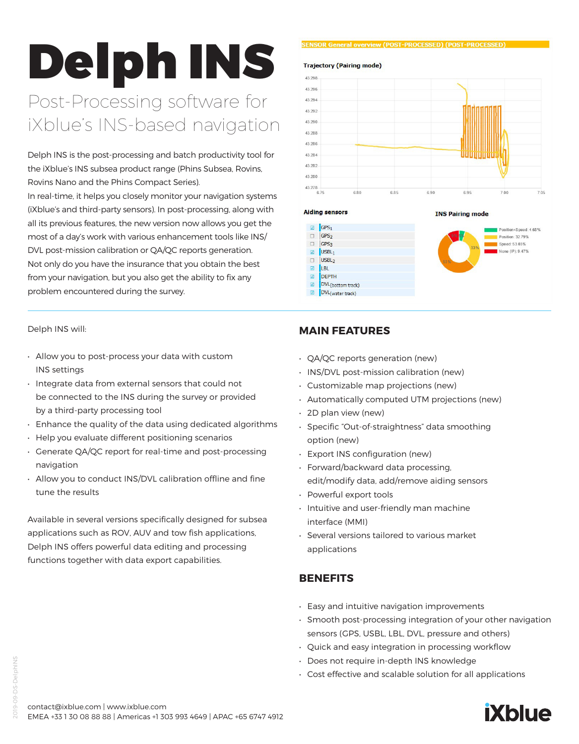# Delph INS

### Post-Processing software for iXblue's INS-based navigation

Delph INS is the post-processing and batch productivity tool for the iXblue's INS subsea product range (Phins Subsea, Rovins, Rovins Nano and the Phins Compact Series).

In real-time, it helps you closely monitor your navigation systems (iXblue's and third-party sensors). In post-processing, along with all its previous features, the new version now allows you get the most of a day's work with various enhancement tools like INS/ DVL post-mission calibration or QA/QC reports generation. Not only do you have the insurance that you obtain the best from your navigation, but you also get the ability to fix any problem encountered during the survey.

Delph INS will:

- Allow you to post-process your data with custom INS settings
- Integrate data from external sensors that could not be connected to the INS during the survey or provided by a third-party processing tool
- Enhance the quality of the data using dedicated algorithms
- Help you evaluate different positioning scenarios
- Generate QA/QC report for real-time and post-processing navigation
- Allow you to conduct INS/DVL calibration offline and fine tune the results

Available in several versions specifically designed for subsea applications such as ROV, AUV and tow fish applications, Delph INS offers powerful data editing and processing functions together with data export capabilities.

#### **CENCOD General overview (DOST-DDOCESSED) (DOST-DDOCESSE**



**Aiding sensors** 



#### **MAIN FEATURES**

- QA/QC reports generation (new)
- INS/DVL post-mission calibration (new)
- Customizable map projections (new)
- Automatically computed UTM projections (new)
- 2D plan view (new)
- Specific "Out-of-straightness" data smoothing option (new)
- Export INS configuration (new)
- Forward/backward data processing, edit/modify data, add/remove aiding sensors
- Powerful export tools
- Intuitive and user-friendly man machine interface (MMI)
- Several versions tailored to various market applications

#### **BENEFITS**

- Easy and intuitive navigation improvements
- Smooth post-processing integration of your other navigation sensors (GPS, USBL, LBL, DVL, pressure and others)
- Quick and easy integration in processing workflow
- Does not require in-depth INS knowledge
- Cost effective and scalable solution for all applications